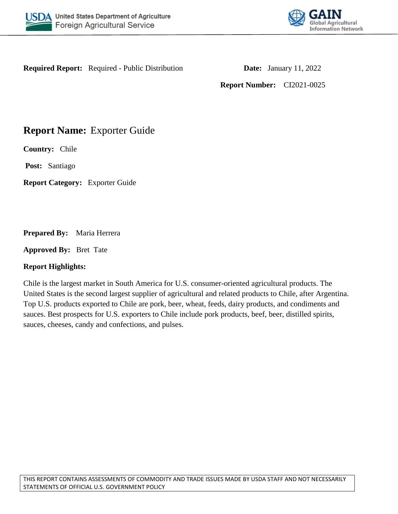



**Required Report:** Required - Public Distribution **Date:** January 11, 2022

**Report Number:** CI2021-0025

# **Report Name:** Exporter Guide

**Country:** Chile

**Post:** Santiago

**Report Category:** Exporter Guide

## **Prepared By:** Maria Herrera

**Approved By:** Bret Tate

## **Report Highlights:**

Chile is the largest market in South America for U.S. consumer-oriented agricultural products. The United States is the second largest supplier of agricultural and related products to Chile, after Argentina. Top U.S. products exported to Chile are pork, beer, wheat, feeds, dairy products, and condiments and sauces. Best prospects for U.S. exporters to Chile include pork products, beef, beer, distilled spirits, sauces, cheeses, candy and confections, and pulses.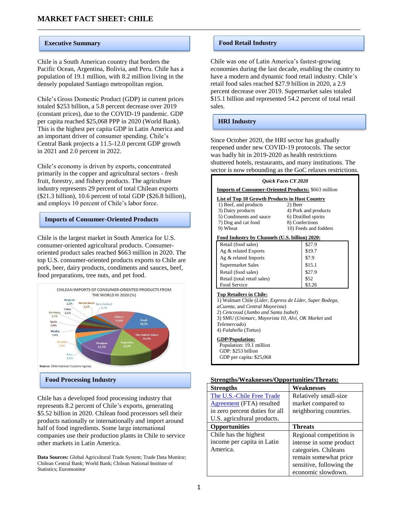Chile is a South American country that borders the Pacific Ocean, Argentina, Bolivia, and Peru. Chile has a population of 19.1 million, with 8.2 million living in the densely populated Santiago metropolitan region.

Chile's Gross Domestic Product (GDP) in current prices totaled \$253 billion, a 5.8 percent decrease over 2019 (constant prices), due to the COVID-19 pandemic. GDP per capita reached \$25,068 PPP in 2020 (World Bank). This is the highest per capita GDP in Latin America and an important driver of consumer spending. Chile's Central Bank projects a 11.5-12.0 percent GDP growth in 2021 and 2.0 percent in 2022.

Chile's economy is driven by exports, concentrated primarily in the copper and agricultural sectors - fresh fruit, forestry, and fishery products. The agriculture industry represents 29 percent of total Chilean exports (\$21.3 billion), 10.6 percent of total GDP (\$26.8 billion), and employs 10 percent of Chile's labor force.

#### **Imports of Consumer-Oriented Products**

Chile is the largest market in South America for U.S. consumer-oriented agricultural products. Consumeroriented product sales reached \$663 million in 2020. The top U.S. consumer-oriented products exports to Chile are pork, beer, dairy products, condiments and sauces, beef, food preparations, tree nuts, and pet food.



Chile has a developed food processing industry that represents 8.2 percent of Chile's exports, generating \$5.52 billion in 2020. Chilean food processors sell their products nationally or internationally and import around half of food ingredients. Some large international companies use their production plants in Chile to service other markets in Latin America.

**Data Sources:** Global Agricultural Trade System; Trade Data Monitor; Chilean Central Bank; World Bank; Chilean National Institute of Statistics; Euromonitor

#### **Executive Summary <b>Food Retail Industry Food Retail Industry**

Chile was one of Latin America's fastest-growing economies during the last decade, enabling the country to have a modern and dynamic food retail industry. Chile's retail food sales reached \$27.9 billion in 2020, a 2.9 percent decrease over 2019. Supermarket sales totaled \$15.1 billion and represented 54.2 percent of total retail sales.

#### **HRI Industry**

Since October 2020, the HRI sector has gradually reopened under new COVID-19 protocols. The sector was badly hit in 2019-2020 as health restrictions shuttered hotels, restaurants, and many institutions. The sector is now rebounding as the GoC relaxes restrictions.

#### *Quick Facts CY 2020*

**Imports of Consumer-Oriented Products:** \$663 million

#### **List of Top 10 Growth Products in Host Country**

| 2) Beer                                        |
|------------------------------------------------|
| 4) Pork and products                           |
| 6) Distilled spirits                           |
| 8) Confections                                 |
| 10) Feeds and fodders                          |
| Food Industry by Channels (U.S. billion) 2020: |
| \$27.9                                         |
| \$19.7                                         |
| \$7.9                                          |
| \$15.1                                         |
| \$27.9                                         |
| \$52                                           |
| \$3.26                                         |
|                                                |

**Top Retailers in Chile:**

1) Walmart Chile (*Líder, Express de Líder, Super Bodega,* 

*aCuenta*, and *Central Mayorista*) 2) *Cencosud* (*Jumbo and Santa Isabel*)

3) SMU (*Unimarc, Mayorista 10, Alvi, OK Market* and *Telemercado*)

4) *Falabella* (*Tottus*)

**GDP/Population:**

 Population: 19.1 million GDP: \$253 billion GDP per capita: \$25,068

#### **Strengths/Weaknesses/Opportunities/Threats:**

| <b>Strengths</b>                | Weaknesses               |
|---------------------------------|--------------------------|
| The U.S.-Chile Free Trade       | Relatively small-size    |
| <b>Agreement</b> (FTA) resulted | market compared to       |
| in zero percent duties for all  | neighboring countries.   |
| U.S. agricultural products.     |                          |
| <b>Opportunities</b>            | <b>Threats</b>           |
| Chile has the highest           | Regional competition is  |
| income per capita in Latin      | intense in some product  |
| America.                        | categories. Chileans     |
|                                 | remain somewhat price    |
|                                 | sensitive, following the |
|                                 | economic slowdown.       |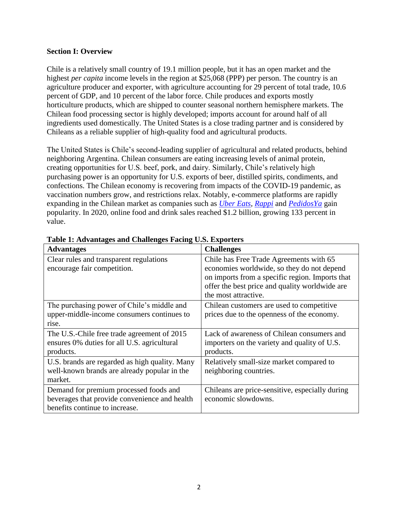#### **Section I: Overview**

Chile is a relatively small country of 19.1 million people, but it has an open market and the highest *per capita* income levels in the region at \$25,068 (PPP) per person. The country is an agriculture producer and exporter, with agriculture accounting for 29 percent of total trade, 10.6 percent of GDP, and 10 percent of the labor force. Chile produces and exports mostly horticulture products, which are shipped to counter seasonal northern hemisphere markets. The Chilean food processing sector is highly developed; imports account for around half of all ingredients used domestically. The United States is a close trading partner and is considered by Chileans as a reliable supplier of high-quality food and agricultural products.

The United States is Chile's second-leading supplier of agricultural and related products, behind neighboring Argentina. Chilean consumers are eating increasing levels of animal protein, creating opportunities for U.S. beef, pork, and dairy. Similarly, Chile's relatively high purchasing power is an opportunity for U.S. exports of beer, distilled spirits, condiments, and confections. The Chilean economy is recovering from impacts of the COVID-19 pandemic, as vaccination numbers grow, and restrictions relax. Notably, e-commerce platforms are rapidly expanding in the Chilean market as companies such as *[Uber Eats,](https://www.ubereats.com/es-CL/santiago/) [Rappi](https://www.rappi.cl/)* and *[PedidosYa](https://www.pedidosya.cl/)* gain popularity. In 2020, online food and drink sales reached \$1.2 billion, growing 133 percent in value.

| <b>Advantages</b>                              | <b>Challenges</b>                               |
|------------------------------------------------|-------------------------------------------------|
| Clear rules and transparent regulations        | Chile has Free Trade Agreements with 65         |
| encourage fair competition.                    | economies worldwide, so they do not depend      |
|                                                | on imports from a specific region. Imports that |
|                                                | offer the best price and quality worldwide are  |
|                                                | the most attractive.                            |
| The purchasing power of Chile's middle and     | Chilean customers are used to competitive       |
| upper-middle-income consumers continues to     | prices due to the openness of the economy.      |
| rise.                                          |                                                 |
| The U.S.-Chile free trade agreement of 2015    | Lack of awareness of Chilean consumers and      |
| ensures 0% duties for all U.S. agricultural    | importers on the variety and quality of U.S.    |
| products.                                      | products.                                       |
| U.S. brands are regarded as high quality. Many | Relatively small-size market compared to        |
| well-known brands are already popular in the   | neighboring countries.                          |
| market.                                        |                                                 |
| Demand for premium processed foods and         | Chileans are price-sensitive, especially during |
| beverages that provide convenience and health  | economic slowdowns.                             |
| benefits continue to increase.                 |                                                 |

**Table 1: Advantages and Challenges Facing U.S. Exporters**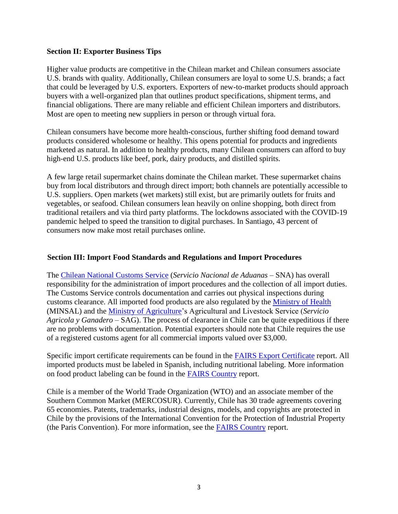#### **Section II: Exporter Business Tips**

Higher value products are competitive in the Chilean market and Chilean consumers associate U.S. brands with quality. Additionally, Chilean consumers are loyal to some U.S. brands; a fact that could be leveraged by U.S. exporters. Exporters of new-to-market products should approach buyers with a well-organized plan that outlines product specifications, shipment terms, and financial obligations. There are many reliable and efficient Chilean importers and distributors. Most are open to meeting new suppliers in person or through virtual fora.

Chilean consumers have become more health-conscious, further shifting food demand toward products considered wholesome or healthy. This opens potential for products and ingredients marketed as natural. In addition to healthy products, many Chilean consumers can afford to buy high-end U.S. products like beef, pork, dairy products, and distilled spirits.

A few large retail supermarket chains dominate the Chilean market. These supermarket chains buy from local distributors and through direct import; both channels are potentially accessible to U.S. suppliers. Open markets (wet markets) still exist, but are primarily outlets for fruits and vegetables, or seafood. Chilean consumers lean heavily on online shopping, both direct from traditional retailers and via third party platforms. The lockdowns associated with the COVID-19 pandemic helped to speed the transition to digital purchases. In Santiago, 43 percent of consumers now make most retail purchases online.

#### **Section III: Import Food Standards and Regulations and Import Procedures**

The [Chilean National Customs Service](http://www.aduana.cl/) (*Servicio Nacional de Aduanas* – SNA) has overall responsibility for the administration of import procedures and the collection of all import duties. The Customs Service controls documentation and carries out physical inspections during customs clearance. All imported food products are also regulated by the Ministry [of Health](https://www.minsal.cl/reglamento-sanitario-de-los-alimentos/) (MINSAL) and the [Ministry of Agriculture'](https://www.sag.gob.cl/)s Agricultural and Livestock Service (*Servicio Agricola y Ganadero* – SAG). The process of clearance in Chile can be quite expeditious if there are no problems with documentation. Potential exporters should note that Chile requires the use of a registered customs agent for all commercial imports valued over \$3,000.

Specific import certificate requirements can be found in the [FAIRS Export Certificate](https://apps.fas.usda.gov/newgainapi/api/Report/DownloadReportByFileName?fileName=Food%20and%20Agricultural%20Import%20Regulations%20and%20Standards%20Export%20Certificate%20Report_Santiago_Chile_09-30-2021.pdf) report. All imported products must be labeled in Spanish, including nutritional labeling. More information on food product labeling can be found in the [FAIRS Country](https://apps.fas.usda.gov/newgainapi/api/Report/DownloadReportByFileName?fileName=Food%20and%20Agricultural%20Import%20Regulations%20and%20Standards%20Country%20Report_Santiago_Chile_09-30-2021.pdf) report.

Chile is a member of the World Trade Organization (WTO) and an associate member of the Southern Common Market (MERCOSUR). Currently, Chile has 30 trade agreements covering 65 economies. Patents, trademarks, industrial designs, models, and copyrights are protected in Chile by the provisions of the International Convention for the Protection of Industrial Property (the Paris Convention). For more information, see the [FAIRS Country](https://apps.fas.usda.gov/newgainapi/api/Report/DownloadReportByFileName?fileName=Food%20and%20Agricultural%20Import%20Regulations%20and%20Standards%20Country%20Report_Santiago_Chile_09-30-2021.pdf) report.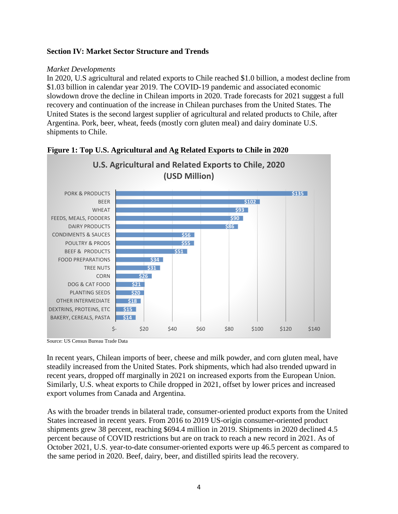### **Section IV: Market Sector Structure and Trends**

#### *Market Developments*

In 2020, U.S agricultural and related exports to Chile reached \$1.0 billion, a modest decline from \$1.03 billion in calendar year 2019. The COVID-19 pandemic and associated economic slowdown drove the decline in Chilean imports in 2020. Trade forecasts for 2021 suggest a full recovery and continuation of the increase in Chilean purchases from the United States. The United States is the second largest supplier of agricultural and related products to Chile, after Argentina. Pork, beer, wheat, feeds (mostly corn gluten meal) and dairy dominate U.S. shipments to Chile.





Source: US Census Bureau Trade Data

In recent years, Chilean imports of beer, cheese and milk powder, and corn gluten meal, have steadily increased from the United States. Pork shipments, which had also trended upward in recent years, dropped off marginally in 2021 on increased exports from the European Union. Similarly, U.S. wheat exports to Chile dropped in 2021, offset by lower prices and increased export volumes from Canada and Argentina.

As with the broader trends in bilateral trade, consumer-oriented product exports from the United States increased in recent years. From 2016 to 2019 US-origin consumer-oriented product shipments grew 38 percent, reaching \$694.4 million in 2019. Shipments in 2020 declined 4.5 percent because of COVID restrictions but are on track to reach a new record in 2021. As of October 2021, U.S. year-to-date consumer-oriented exports were up 46.5 percent as compared to the same period in 2020. Beef, dairy, beer, and distilled spirits lead the recovery.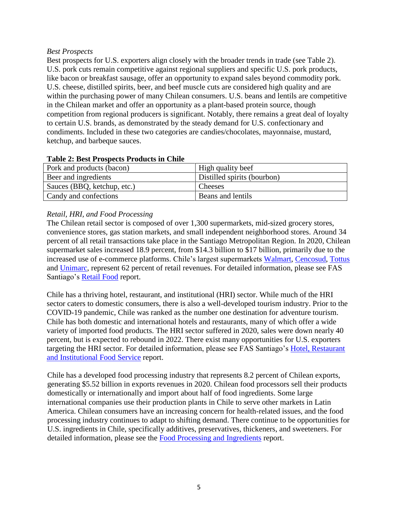### *Best Prospects*

Best prospects for U.S. exporters align closely with the broader trends in trade (see Table 2). U.S. pork cuts remain competitive against regional suppliers and specific U.S. pork products, like bacon or breakfast sausage, offer an opportunity to expand sales beyond commodity pork. U.S. cheese, distilled spirits, beer, and beef muscle cuts are considered high quality and are within the purchasing power of many Chilean consumers. U.S. beans and lentils are competitive in the Chilean market and offer an opportunity as a plant-based protein source, though competition from regional producers is significant. Notably, there remains a great deal of loyalty to certain U.S. brands, as demonstrated by the steady demand for U.S. confectionary and condiments. Included in these two categories are candies/chocolates, mayonnaise, mustard, ketchup, and barbeque sauces.

| Tuble 4, Dest I Tospecis I Tougles in Chine |                             |
|---------------------------------------------|-----------------------------|
| Pork and products (bacon)                   | High quality beef           |
| Beer and ingredients                        | Distilled spirits (bourbon) |
| Sauces (BBQ, ketchup, etc.)                 | Cheeses                     |
| Candy and confections                       | Beans and lentils           |

## **Table 2: Best Prospects Products in Chile**

## *Retail, HRI, and Food Processing*

The Chilean retail sector is composed of over 1,300 supermarkets, mid-sized grocery stores, convenience stores, gas station markets, and small independent neighborhood stores. Around 34 percent of all retail transactions take place in the Santiago Metropolitan Region. In 2020, Chilean supermarket sales increased 18.9 percent, from \$14.3 billion to \$17 billion, primarily due to the increased use of e-commerce platforms. Chile's largest supermarkets [Walmart,](https://www.lider.cl/) [Cencosud,](https://www.jumbo.cl/) [Tottus](https://www.tottus.cl/) and [Unimarc,](https://www.unimarc.cl/) represent 62 percent of retail revenues. For detailed information, please see FAS Santiago's [Retail Food](https://apps.fas.usda.gov/newgainapi/api/Report/DownloadReportByFileName?fileName=Retail%20Foods_Santiago_Chile_06-30-2021.pdf) report.

Chile has a thriving hotel, restaurant, and institutional (HRI) sector. While much of the HRI sector caters to domestic consumers, there is also a well-developed tourism industry. Prior to the COVID-19 pandemic, Chile was ranked as the number one destination for adventure tourism. Chile has both domestic and international hotels and restaurants, many of which offer a wide variety of imported food products. The HRI sector suffered in 2020, sales were down nearly 40 percent, but is expected to rebound in 2022. There exist many opportunities for U.S. exporters targeting the HRI sector. For detailed information, please see FAS Santiago's [Hotel, Restaurant](https://apps.fas.usda.gov/newgainapi/api/Report/DownloadReportByFileName?fileName=Food%20Service%20-%20Hotel%20Restaurant%20Institutional_Santiago_Chile_09-30-2021.pdf)  [and Institutional Food Service](https://apps.fas.usda.gov/newgainapi/api/Report/DownloadReportByFileName?fileName=Food%20Service%20-%20Hotel%20Restaurant%20Institutional_Santiago_Chile_09-30-2021.pdf) report.

Chile has a developed food processing industry that represents 8.2 percent of Chilean exports, generating \$5.52 billion in exports revenues in 2020. Chilean food processors sell their products domestically or internationally and import about half of food ingredients. Some large international companies use their production plants in Chile to serve other markets in Latin America. Chilean consumers have an increasing concern for health-related issues, and the food processing industry continues to adapt to shifting demand. There continue to be opportunities for U.S. ingredients in Chile, specifically additives, preservatives, thickeners, and sweeteners. For detailed information, please see the [Food Processing and Ingredients](https://apps.fas.usda.gov/newgainapi/api/Report/DownloadReportByFileName?fileName=Food%20Processing%20Ingredients_Santiago_Chile_03-30-2021.pdf) report.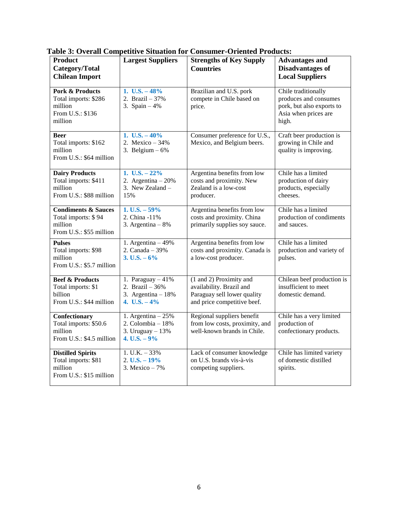| <b>Product</b><br>Category/Total<br><b>Chilean Import</b>                                    | <b>Largest Suppliers</b>                                                         | <b>Strengths of Key Supply</b><br><b>Countries</b>                                                                | <b>Advantages and</b><br><b>Disadvantages of</b><br><b>Local Suppliers</b>                                 |
|----------------------------------------------------------------------------------------------|----------------------------------------------------------------------------------|-------------------------------------------------------------------------------------------------------------------|------------------------------------------------------------------------------------------------------------|
| <b>Pork &amp; Products</b><br>Total imports: \$286<br>million<br>From U.S.: \$136<br>million | 1. U.S. $-48%$<br>2. Brazil $-37%$<br>3. Spain $-4%$                             | Brazilian and U.S. pork<br>compete in Chile based on<br>price.                                                    | Chile traditionally<br>produces and consumes<br>pork, but also exports to<br>Asia when prices are<br>high. |
| <b>Beer</b><br>Total imports: \$162<br>million<br>From U.S.: \$64 million                    | 1. U.S. $-40\%$<br>2. Mexico $-34%$<br>3. Belgium $-6\%$                         | Consumer preference for U.S.,<br>Mexico, and Belgium beers.                                                       | Craft beer production is<br>growing in Chile and<br>quality is improving.                                  |
| <b>Dairy Products</b><br>Total imports: \$411<br>million<br>From U.S.: \$88 million          | 1. U.S. $-22%$<br>2. Argentina $-20%$<br>3. New Zealand -<br>15%                 | Argentina benefits from low<br>costs and proximity. New<br>Zealand is a low-cost<br>producer.                     | Chile has a limited<br>production of dairy<br>products, especially<br>cheeses.                             |
| <b>Condiments &amp; Sauces</b><br>Total imports: \$94<br>million<br>From U.S.: \$55 million  | 1. U.S. $-59%$<br>2. China -11%<br>3. Argentina $-8\%$                           | Argentina benefits from low<br>costs and proximity. China<br>primarily supplies soy sauce.                        | Chile has a limited<br>production of condiments<br>and sauces.                                             |
| <b>Pulses</b><br>Total imports: \$98<br>million<br>From U.S.: \$5.7 million                  | 1. Argentina $-49%$<br>2. Canada $-39%$<br>3. U.S. $-6\%$                        | Argentina benefits from low<br>costs and proximity. Canada is<br>a low-cost producer.                             | Chile has a limited<br>production and variety of<br>pulses.                                                |
| <b>Beef &amp; Products</b><br>Total imports: \$1<br>billion<br>From U.S.: \$44 million       | 1. Paraguay $-41%$<br>2. Brazil - 36%<br>3. Argentina $-18%$<br>4. U.S. $-4\%$   | (1 and 2) Proximity and<br>availability. Brazil and<br>Paraguay sell lower quality<br>and price competitive beef. | Chilean beef production is<br>insufficient to meet<br>domestic demand.                                     |
| Confectionary<br>Total imports: \$50.6<br>million<br>From U.S.: \$4.5 million                | 1. Argentina $-25%$<br>2. Colombia $-18%$<br>3. Uruguay $-13%$<br>4. U.S. $-9\%$ | Regional suppliers benefit<br>from low costs, proximity, and<br>well-known brands in Chile.                       | Chile has a very limited<br>production of<br>confectionary products.                                       |
| <b>Distilled Spirits</b><br>Total imports: \$81<br>million<br>From U.S.: \$15 million        | $1. U.K. - 33%$<br>$2. U.S. - 19\%$<br>3. Mexico $-7%$                           | Lack of consumer knowledge<br>on U.S. brands vis-à-vis<br>competing suppliers.                                    | Chile has limited variety<br>of domestic distilled<br>spirits.                                             |

**Table 3: Overall Competitive Situation for Consumer-Oriented Products:**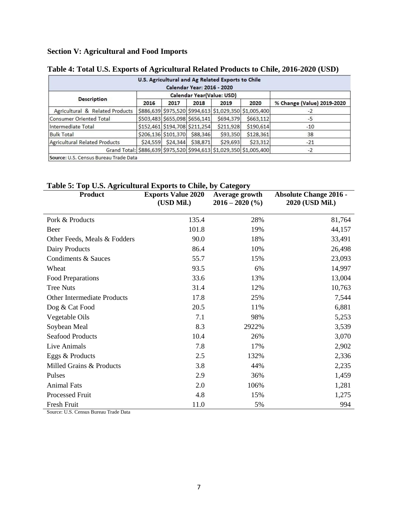# **Section V: Agricultural and Food Imports**

|                                       |          |                     | Calendar Year: 2016 - 2020    | U.S. Agricultural and Ag Related Exports to Chile |                                                                    |                            |
|---------------------------------------|----------|---------------------|-------------------------------|---------------------------------------------------|--------------------------------------------------------------------|----------------------------|
|                                       |          |                     |                               | Calendar Year(Value: USD)                         |                                                                    |                            |
| <b>Description</b>                    | 2016     | 2017                | 2018                          | 2019                                              | 2020                                                               | % Change (Value) 2019-2020 |
| Agricultural & Related Products       |          |                     |                               |                                                   | \$886,639 \$975,520 \$994,613 \$1,029,350 \$1,005,400              | $-2$                       |
| <b>Consumer Oriented Total</b>        |          |                     | \$503,483 \$655,098 \$656,141 | \$694,379                                         | \$663,112                                                          | $-5$                       |
| Intermediate Total                    |          |                     | \$152,461 \$194,708 \$211,254 | \$211,928                                         | \$190,614                                                          | $-10$                      |
| <b>Bulk Total</b>                     |          | \$206,136 \$101,370 | \$88,346                      | \$93,350                                          | \$128,361                                                          | 38                         |
| <b>Agricultural Related Products</b>  | \$24,559 | \$24,344            | \$38,871                      | \$29,693                                          | \$23,312                                                           | $-21$                      |
|                                       |          |                     |                               |                                                   | Grand Total: \$886,639 \$975,520 \$994,613 \$1,029,350 \$1,005,400 | $-2$                       |
| Source: U.S. Census Bureau Trade Data |          |                     |                               |                                                   |                                                                    |                            |

# **Table 4: Total U.S. Exports of Agricultural Related Products to Chile, 2016-2020 (USD)**

## **Table 5: Top U.S. Agricultural Exports to Chile, by Category**

| <b>Product</b>                     | <b>Exports Value 2020</b><br>(USD Mil.) | Average growth<br>$2016 - 2020$ (%) | <b>Absolute Change 2016 -</b><br>2020 (USD Mil.) |
|------------------------------------|-----------------------------------------|-------------------------------------|--------------------------------------------------|
| Pork & Products                    | 135.4                                   | 28%                                 | 81,764                                           |
| Beer                               | 101.8                                   | 19%                                 | 44,157                                           |
| Other Feeds, Meals & Fodders       | 90.0                                    | 18%                                 | 33,491                                           |
| Dairy Products                     | 86.4                                    | 10%                                 | 26,498                                           |
| Condiments & Sauces                | 55.7                                    | 15%                                 | 23,093                                           |
| Wheat                              | 93.5                                    | 6%                                  | 14,997                                           |
| Food Preparations                  | 33.6                                    | 13%                                 | 13,004                                           |
| <b>Tree Nuts</b>                   | 31.4                                    | 12%                                 | 10,763                                           |
| <b>Other Intermediate Products</b> | 17.8                                    | 25%                                 | 7,544                                            |
| Dog & Cat Food                     | 20.5                                    | 11%                                 | 6,881                                            |
| Vegetable Oils                     | 7.1                                     | 98%                                 | 5,253                                            |
| Soybean Meal                       | 8.3                                     | 2922%                               | 3,539                                            |
| <b>Seafood Products</b>            | 10.4                                    | 26%                                 | 3,070                                            |
| Live Animals                       | 7.8                                     | 17%                                 | 2,902                                            |
| Eggs & Products                    | 2.5                                     | 132%                                | 2,336                                            |
| Milled Grains & Products           | 3.8                                     | 44%                                 | 2,235                                            |
| Pulses                             | 2.9                                     | 36%                                 | 1,459                                            |
| <b>Animal Fats</b>                 | 2.0                                     | 106%                                | 1,281                                            |
| Processed Fruit                    | 4.8                                     | 15%                                 | 1,275                                            |
| Fresh Fruit                        | 11.0                                    | 5%                                  | 994                                              |

Source: U.S. Census Bureau Trade Data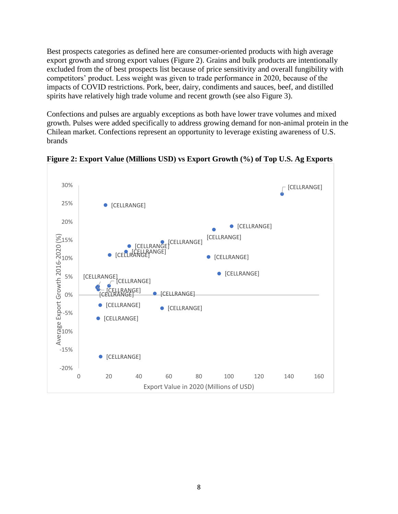Best prospects categories as defined here are consumer-oriented products with high average export growth and strong export values (Figure 2). Grains and bulk products are intentionally excluded from the of best prospects list because of price sensitivity and overall fungibility with competitors' product. Less weight was given to trade performance in 2020, because of the impacts of COVID restrictions. Pork, beer, dairy, condiments and sauces, beef, and distilled spirits have relatively high trade volume and recent growth (see also Figure 3).

Confections and pulses are arguably exceptions as both have lower trave volumes and mixed growth. Pulses were added specifically to address growing demand for non-animal protein in the Chilean market. Confections represent an opportunity to leverage existing awareness of U.S. brands



**Figure 2: Export Value (Millions USD) vs Export Growth (%) of Top U.S. Ag Exports**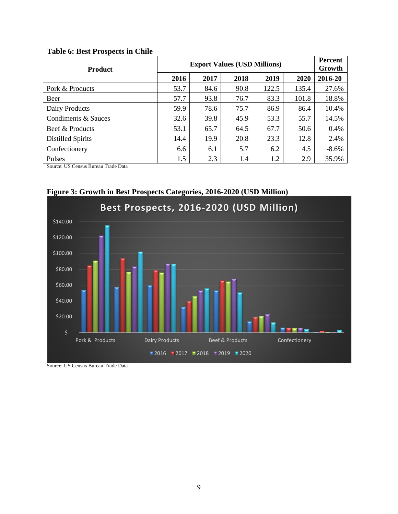## **Table 6: Best Prospects in Chile**

| <b>Product</b>                      | <b>Export Values (USD Millions)</b> | Percent<br>Growth |      |       |       |          |
|-------------------------------------|-------------------------------------|-------------------|------|-------|-------|----------|
|                                     | 2016                                | 2017              | 2018 | 2019  | 2020  | 2016-20  |
| Pork & Products                     | 53.7                                | 84.6              | 90.8 | 122.5 | 135.4 | 27.6%    |
| Beer                                | 57.7                                | 93.8              | 76.7 | 83.3  | 101.8 | 18.8%    |
| Dairy Products                      | 59.9                                | 78.6              | 75.7 | 86.9  | 86.4  | 10.4%    |
| Condiments & Sauces                 | 32.6                                | 39.8              | 45.9 | 53.3  | 55.7  | 14.5%    |
| Beef & Products                     | 53.1                                | 65.7              | 64.5 | 67.7  | 50.6  | 0.4%     |
| <b>Distilled Spirits</b>            | 14.4                                | 19.9              | 20.8 | 23.3  | 12.8  | 2.4%     |
| Confectionery                       | 6.6                                 | 6.1               | 5.7  | 6.2   | 4.5   | $-8.6\%$ |
| <b>Pulses</b>                       | 1.5                                 | 2.3               | 1.4  | 1.2   | 2.9   | 35.9%    |
| Cource: HC Cancus Rurgey Trade Data |                                     |                   |      |       |       |          |

Source: US Census Bureau Trade Data



**Figure 3: Growth in Best Prospects Categories, 2016-2020 (USD Million)**

Source: US Census Bureau Trade Data